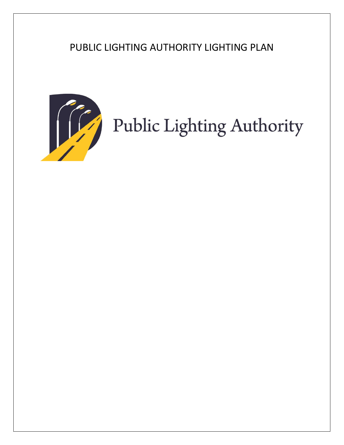# PUBLIC LIGHTING AUTHORITY LIGHTING PLAN



# Public Lighting Authority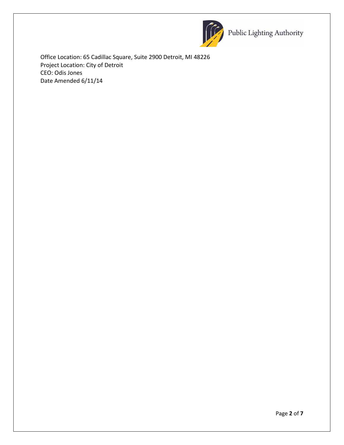

Public Lighting Authority

Office Location: 65 Cadillac Square, Suite 2900 Detroit, MI 48226 Project Location: City of Detroit CEO: Odis Jones Date Amended 6/11/14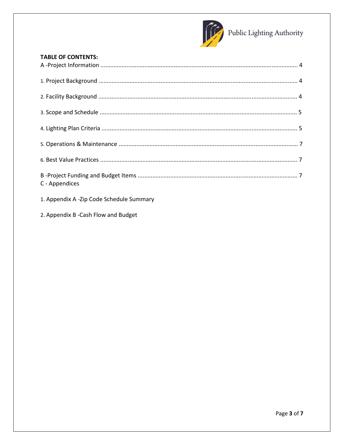

# **TABLE OF CONTENTS:**

| C - Appendices |  |
|----------------|--|

- 1. Appendix A -Zip Code Schedule Summary
- 2. Appendix B Cash Flow and Budget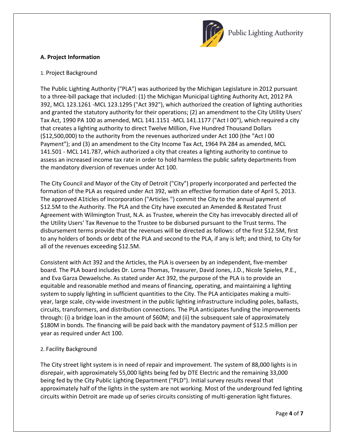

# **A. Project Information**

# 1. Project Background

The Public Lighting Authority ("PLA") was authorized by the Michigan Legislature in 2012 pursuant to a three-bill package that included: (1) the Michigan Municipal Lighting Authority Act, 2012 PA 392, MCL 123.1261 -MCL 123.1295 ("Act 392"), which authorized the creation of lighting authorities and granted the statutory authority for their operations; (2) an amendment to the City Utility Users' Tax Act, 1990 PA 100 as amended, MCL 141.1151 -MCL 141.1177 ("Act I 00"), which required a city that creates a lighting authority to direct Twelve Million, Five Hundred Thousand Dollars (\$12,500,000) to the authority from the revenues authorized under Act 100 (the "Act I 00 Payment"); and (3) an amendment to the City Income Tax Act, 1964 PA 284 as amended, MCL 141.501 - MCL 141.787, which authorized a city that creates a lighting authority to continue to assess an increased income tax rate in order to hold harmless the public safety departments from the mandatory diversion of revenues under Act 100.

The City Council and Mayor of the City of Detroit ("City") properly incorporated and perfected the formation of the PLA as required under Act 392, with an effective formation date of April 5, 2013. The approved A1ticles of Incorporation ("Articles ") commit the City to the annual payment of \$12.5M to the Authority. The PLA and the City have executed an Amended & Restated Trust Agreement with Wilmington Trust, N.A. as Trustee, wherein the City has irrevocably directed all of the Utility Users' Tax Revenue to the Trustee to be disbursed pursuant to the Trust terms. The disbursement terms provide that the revenues will be directed as follows: of the first \$12.5M, first to any holders of bonds or debt of the PLA and second to the PLA, if any is left; and third, to City for all of the revenues exceeding \$12.5M.

Consistent with Act 392 and the Articles, the PLA is overseen by an independent, five-member board. The PLA board includes Dr. Lorna Thomas, Treasurer, David Jones, J.D., Nicole Spieles, P.E., and Eva Garza Dewaelsche. As stated under Act 392, the purpose of the PLA is to provide an equitable and reasonable method and means of financing, operating, and maintaining a lighting system to supply lighting in sufficient quantities to the City. The PLA anticipates making a multiyear, large scale, city-wide investment in the public lighting infrastructure including poles, ballasts, circuits, transformers, and distribution connections. The PLA anticipates funding the improvements through: (i) a bridge loan in the amount of \$60M; and (ii) the subsequent sale of approximately \$180M in bonds. The financing will be paid back with the mandatory payment of \$12.5 million per year as required under Act 100.

# 2. Facility Background

The City street light system is in need of repair and improvement. The system of 88,000 lights is in disrepair, with approximately 55,000 lights being fed by DTE Electric and the remaining 33,000 being fed by the City Public Lighting Department ("PLD"). Initial survey results reveal that approximately half of the lights in the system are not working. Most of the underground fed lighting circuits within Detroit are made up of series circuits consisting of multi-generation light fixtures.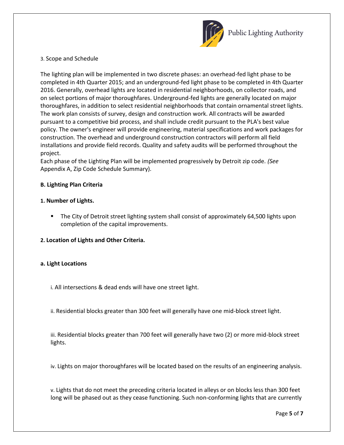

#### 3. Scope and Schedule

The lighting plan will be implemented in two discrete phases: an overhead-fed light phase to be completed in 4th Quarter 2015; and an underground-fed light phase to be completed in 4th Quarter 2016. Generally, overhead lights are located in residential neighborhoods, on collector roads, and on select portions of major thoroughfares. Underground-fed lights are generally located on major thoroughfares, in addition to select residential neighborhoods that contain ornamental street lights. The work plan consists of survey, design and construction work. All contracts will be awarded pursuant to a competitive bid process, and shall include credit pursuant to the PLA's best value policy. The owner's engineer will provide engineering, material specifications and work packages for construction. The overhead and underground construction contractors will perform all field installations and provide field records. Quality and safety audits will be performed throughout the project.

Each phase of the Lighting Plan will be implemented progressively by Detroit zip code. *(See*  Appendix A, Zip Code Schedule Summary).

### **B. Lighting Plan Criteria**

### **1. Number of Lights.**

- **The City of Detroit street lighting system shall consist of approximately 64,500 lights upon** completion of the capital improvements.
- **2. Location of Lights and Other Criteria.**

#### **a. Light Locations**

- i. All intersections & dead ends will have one street light.
- ii. Residential blocks greater than 300 feet will generally have one mid-block street light.

iii. Residential blocks greater than 700 feet will generally have two (2) or more mid-block street lights.

iv. Lights on major thoroughfares will be located based on the results of an engineering analysis.

v. Lights that do not meet the preceding criteria located in alleys or on blocks less than 300 feet long will be phased out as they cease functioning. Such non-conforming lights that are currently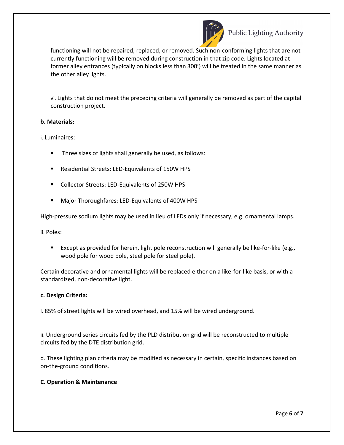

functioning will not be repaired, replaced, or removed. Such non-conforming lights that are not currently functioning will be removed during construction in that zip code. Lights located at former alley entrances (typically on blocks less than 300') will be treated in the same manner as the other alley lights.

vi. Lights that do not meet the preceding criteria will generally be removed as part of the capital construction project.

#### **b. Materials:**

i. Luminaires:

- **Three sizes of lights shall generally be used, as follows:**
- Residential Streets: LED-Equivalents of 150W HPS
- **Collector Streets: LED-Equivalents of 250W HPS**
- **Major Thoroughfares: LED-Equivalents of 400W HPS**

High-pressure sodium lights may be used in lieu of LEDs only if necessary, e.g. ornamental lamps.

ii. Poles:

**Except as provided for herein, light pole reconstruction will generally be like-for-like (e.g.,** wood pole for wood pole, steel pole for steel pole).

Certain decorative and ornamental lights will be replaced either on a like-for-like basis, or with a standardized, non-decorative light.

#### **c. Design Criteria:**

i. 85% of street lights will be wired overhead, and 15% will be wired underground.

ii. Underground series circuits fed by the PLD distribution grid will be reconstructed to multiple circuits fed by the DTE distribution grid.

d. These lighting plan criteria may be modified as necessary in certain, specific instances based on on-the-ground conditions.

#### **C. Operation & Maintenance**